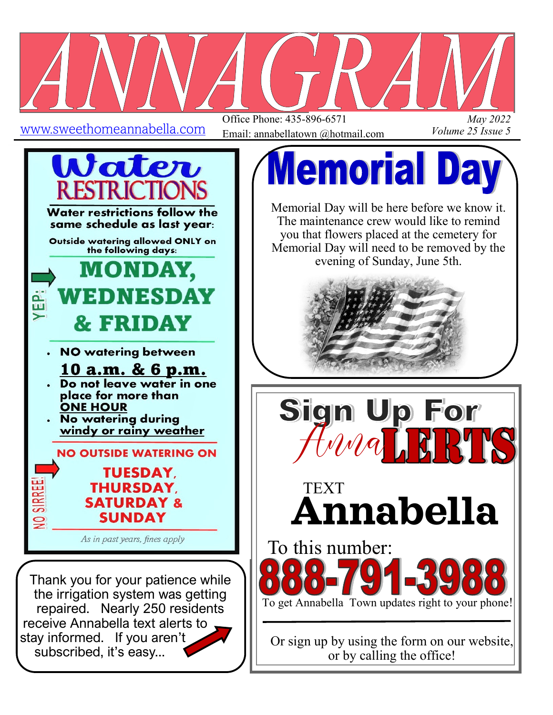

Office Phone: 435-896-6571 Email: annabellatown @hotmail.com

*May 2022 Volume 25 Issue 5*



subscribed, it's easy...